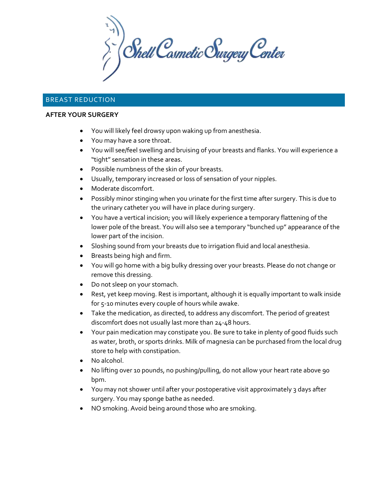$\sum_{i}^{N}$  Shell Cosmetic Surgery Center

# BREAST REDUCTION

#### **AFTER YOUR SURGERY**

- You will likely feel drowsy upon waking up from anesthesia.
- You may have a sore throat.
- You will see/feel swelling and bruising of your breasts and flanks. You will experience a "tight" sensation in these areas.
- Possible numbness of the skin of your breasts.
- Usually, temporary increased or loss of sensation of your nipples.
- Moderate discomfort.
- Possibly minor stinging when you urinate for the first time after surgery. This is due to the urinary catheter you will have in place during surgery.
- You have a vertical incision; you will likely experience a temporary flattening of the lower pole of the breast. You will also see a temporary "bunched up" appearance of the lower part of the incision.
- Sloshing sound from your breasts due to irrigation fluid and local anesthesia.
- Breasts being high and firm.
- You will go home with a big bulky dressing over your breasts. Please do not change or remove this dressing.
- Do not sleep on your stomach.
- Rest, yet keep moving. Rest is important, although it is equally important to walk inside for 5-10 minutes every couple of hours while awake.
- Take the medication, as directed, to address any discomfort. The period of greatest discomfort does not usually last more than 24-48 hours.
- Your pain medication may constipate you. Be sure to take in plenty of good fluids such as water, broth, or sports drinks. Milk of magnesia can be purchased from the local drug store to help with constipation.
- No alcohol.
- No lifting over 10 pounds, no pushing/pulling, do not allow your heart rate above 90 bpm.
- You may not shower until after your postoperative visit approximately 3 days after surgery. You may sponge bathe as needed.
- NO smoking. Avoid being around those who are smoking.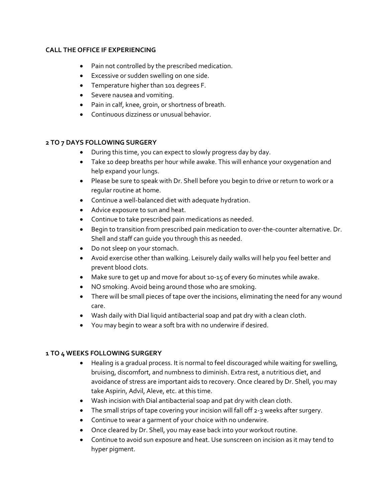#### **CALL THE OFFICE IF EXPERIENCING**

- Pain not controlled by the prescribed medication.
- Excessive or sudden swelling on one side.
- Temperature higher than 101 degrees F.
- Severe nausea and vomiting.
- Pain in calf, knee, groin, or shortness of breath.
- Continuous dizziness or unusual behavior.

# **2 TO 7 DAYS FOLLOWING SURGERY**

- During this time, you can expect to slowly progress day by day.
- Take 10 deep breaths per hour while awake. This will enhance your oxygenation and help expand your lungs.
- Please be sure to speak with Dr. Shell before you begin to drive or return to work or a regular routine at home.
- Continue a well-balanced diet with adequate hydration.
- Advice exposure to sun and heat.
- Continue to take prescribed pain medications as needed.
- Begin to transition from prescribed pain medication to over-the-counter alternative. Dr. Shell and staff can guide you through this as needed.
- Do not sleep on your stomach.
- Avoid exercise other than walking. Leisurely daily walks will help you feel better and prevent blood clots.
- Make sure to get up and move for about 10-15 of every 60 minutes while awake.
- NO smoking. Avoid being around those who are smoking.
- There will be small pieces of tape over the incisions, eliminating the need for any wound care.
- Wash daily with Dial liquid antibacterial soap and pat dry with a clean cloth.
- You may begin to wear a soft bra with no underwire if desired.

### **1 TO 4 WEEKS FOLLOWING SURGERY**

- Healing is a gradual process. It is normal to feel discouraged while waiting for swelling, bruising, discomfort, and numbness to diminish. Extra rest, a nutritious diet, and avoidance of stress are important aids to recovery. Once cleared by Dr. Shell, you may take Aspirin, Advil, Aleve, etc. at this time.
- Wash incision with Dial antibacterial soap and pat dry with clean cloth.
- The small strips of tape covering your incision will fall off 2-3 weeks after surgery.
- Continue to wear a garment of your choice with no underwire.
- Once cleared by Dr. Shell, you may ease back into your workout routine.
- Continue to avoid sun exposure and heat. Use sunscreen on incision as it may tend to hyper pigment.